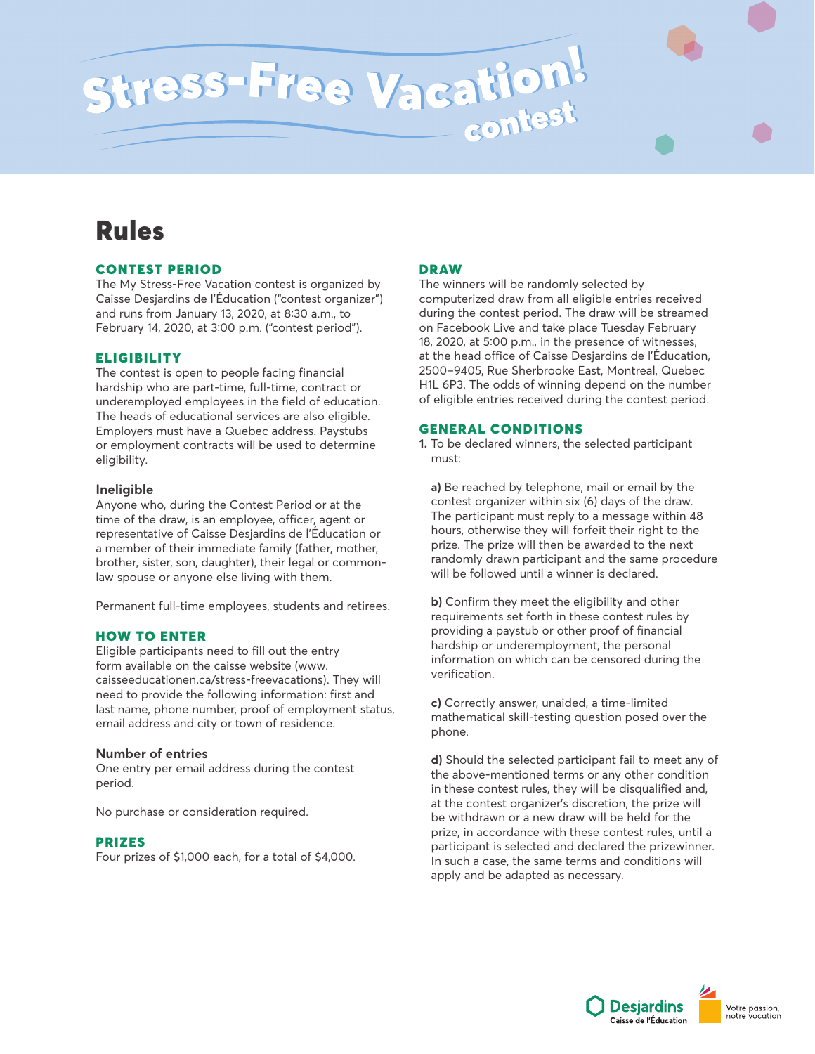# Stress-Free Vacation!

## Rules

#### CONTEST PERIOD

The My Stress-Free Vacation contest is organized by Caisse Desjardins de l'Éducation ("contest organizer") and runs from January 13, 2020, at 8:30 a.m., to February 14, 2020, at 3:00 p.m. ("contest period").

### **ELIGIBILITY**

The contest is open to people facing financial hardship who are part-time, full-time, contract or underemployed employees in the field of education. The heads of educational services are also eligible. Employers must have a Quebec address. Paystubs or employment contracts will be used to determine eligibility.

#### **Ineligible**

Anyone who, during the Contest Period or at the time of the draw, is an employee, officer, agent or representative of Caisse Desjardins de l'Éducation or a member of their immediate family (father, mother, brother, sister, son, daughter), their legal or commonlaw spouse or anyone else living with them.

Permanent full-time employees, students and retirees.

#### HOW TO ENTER

Eligible participants need to fill out the entry form available on the caisse website (www. caisseeducationen.ca/stress-freevacations). They will need to provide the following information: first and last name, phone number, proof of employment status, email address and city or town of residence.

#### **Number of entries**

One entry per email address during the contest period.

No purchase or consideration required.

#### PRIZES

Four prizes of \$1,000 each, for a total of \$4,000.

#### DRAW

The winners will be randomly selected by computerized draw from all eligible entries received during the contest period. The draw will be streamed on Facebook Live and take place Tuesday February 18, 2020, at 5:00 p.m., in the presence of witnesses, at the head office of Caisse Desjardins de l'Éducation, 2500–9405, Rue Sherbrooke East, Montreal, Quebec H1L 6P3. The odds of winning depend on the number of eligible entries received during the contest period.

#### GENERAL CONDITIONS

**1.** To be declared winners, the selected participant must:

**a)** Be reached by telephone, mail or email by the contest organizer within six (6) days of the draw. The participant must reply to a message within 48 hours, otherwise they will forfeit their right to the prize. The prize will then be awarded to the next randomly drawn participant and the same procedure will be followed until a winner is declared.

**b)** Confirm they meet the eligibility and other requirements set forth in these contest rules by providing a paystub or other proof of financial hardship or underemployment, the personal information on which can be censored during the verification.

**c)** Correctly answer, unaided, a time-limited mathematical skill-testing question posed over the phone.

**d)** Should the selected participant fail to meet any of the above-mentioned terms or any other condition in these contest rules, they will be disqualified and, at the contest organizer's discretion, the prize will be withdrawn or a new draw will be held for the prize, in accordance with these contest rules, until a participant is selected and declared the prizewinner. In such a case, the same terms and conditions will apply and be adapted as necessary.

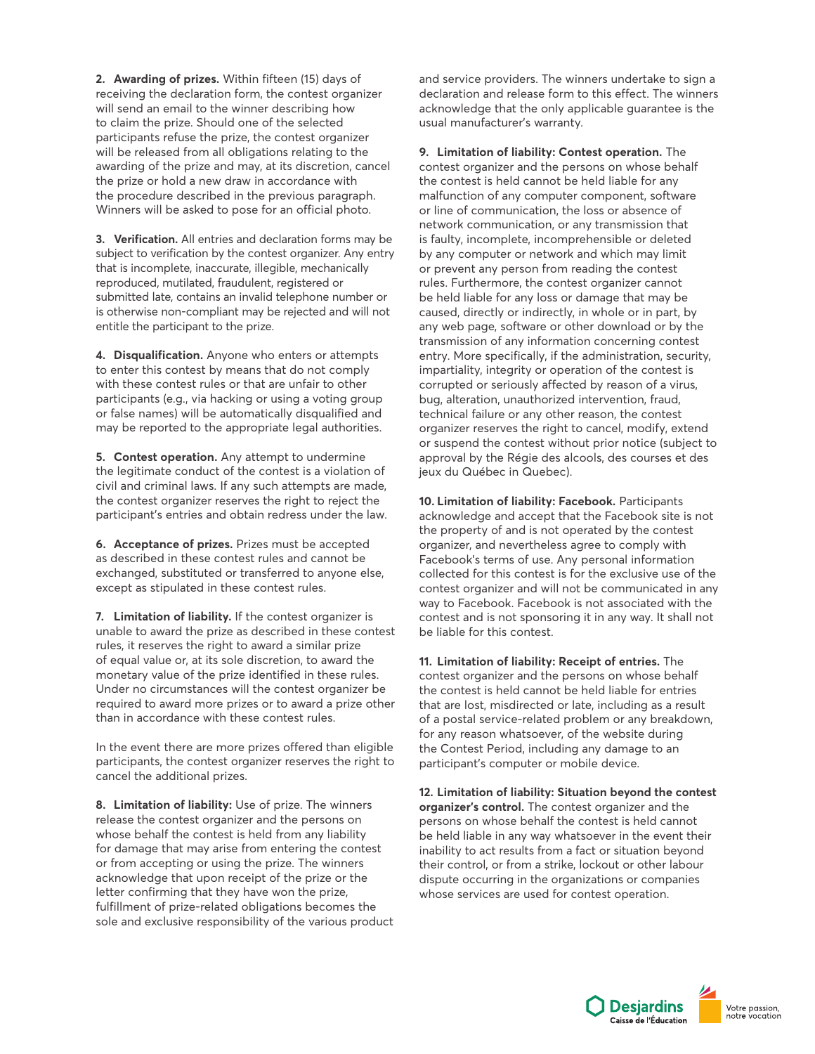**2. Awarding of prizes.** Within fifteen (15) days of receiving the declaration form, the contest organizer will send an email to the winner describing how to claim the prize. Should one of the selected participants refuse the prize, the contest organizer will be released from all obligations relating to the awarding of the prize and may, at its discretion, cancel the prize or hold a new draw in accordance with the procedure described in the previous paragraph. Winners will be asked to pose for an official photo.

**3. Verification.** All entries and declaration forms may be subject to verification by the contest organizer. Any entry that is incomplete, inaccurate, illegible, mechanically reproduced, mutilated, fraudulent, registered or submitted late, contains an invalid telephone number or is otherwise non-compliant may be rejected and will not entitle the participant to the prize.

**4. Disqualification.** Anyone who enters or attempts to enter this contest by means that do not comply with these contest rules or that are unfair to other participants (e.g., via hacking or using a voting group or false names) will be automatically disqualified and may be reported to the appropriate legal authorities.

**5. Contest operation.** Any attempt to undermine the legitimate conduct of the contest is a violation of civil and criminal laws. If any such attempts are made, the contest organizer reserves the right to reject the participant's entries and obtain redress under the law.

**6. Acceptance of prizes.** Prizes must be accepted as described in these contest rules and cannot be exchanged, substituted or transferred to anyone else, except as stipulated in these contest rules.

**7. Limitation of liability.** If the contest organizer is unable to award the prize as described in these contest rules, it reserves the right to award a similar prize of equal value or, at its sole discretion, to award the monetary value of the prize identified in these rules. Under no circumstances will the contest organizer be required to award more prizes or to award a prize other than in accordance with these contest rules.

In the event there are more prizes offered than eligible participants, the contest organizer reserves the right to cancel the additional prizes.

**8. Limitation of liability:** Use of prize. The winners release the contest organizer and the persons on whose behalf the contest is held from any liability for damage that may arise from entering the contest or from accepting or using the prize. The winners acknowledge that upon receipt of the prize or the letter confirming that they have won the prize, fulfillment of prize-related obligations becomes the sole and exclusive responsibility of the various product and service providers. The winners undertake to sign a declaration and release form to this effect. The winners acknowledge that the only applicable guarantee is the usual manufacturer's warranty.

**9. Limitation of liability: Contest operation.** The contest organizer and the persons on whose behalf the contest is held cannot be held liable for any malfunction of any computer component, software or line of communication, the loss or absence of network communication, or any transmission that is faulty, incomplete, incomprehensible or deleted by any computer or network and which may limit or prevent any person from reading the contest rules. Furthermore, the contest organizer cannot be held liable for any loss or damage that may be caused, directly or indirectly, in whole or in part, by any web page, software or other download or by the transmission of any information concerning contest entry. More specifically, if the administration, security, impartiality, integrity or operation of the contest is corrupted or seriously affected by reason of a virus, bug, alteration, unauthorized intervention, fraud, technical failure or any other reason, the contest organizer reserves the right to cancel, modify, extend or suspend the contest without prior notice (subject to approval by the Régie des alcools, des courses et des jeux du Québec in Quebec).

**10. Limitation of liability: Facebook.** Participants acknowledge and accept that the Facebook site is not the property of and is not operated by the contest organizer, and nevertheless agree to comply with Facebook's terms of use. Any personal information collected for this contest is for the exclusive use of the contest organizer and will not be communicated in any way to Facebook. Facebook is not associated with the contest and is not sponsoring it in any way. It shall not be liable for this contest.

**11. Limitation of liability: Receipt of entries.** The contest organizer and the persons on whose behalf the contest is held cannot be held liable for entries that are lost, misdirected or late, including as a result of a postal service-related problem or any breakdown, for any reason whatsoever, of the website during the Contest Period, including any damage to an participant's computer or mobile device.

**12. Limitation of liability: Situation beyond the contest organizer's control.** The contest organizer and the persons on whose behalf the contest is held cannot be held liable in any way whatsoever in the event their inability to act results from a fact or situation beyond their control, or from a strike, lockout or other labour dispute occurring in the organizations or companies whose services are used for contest operation.